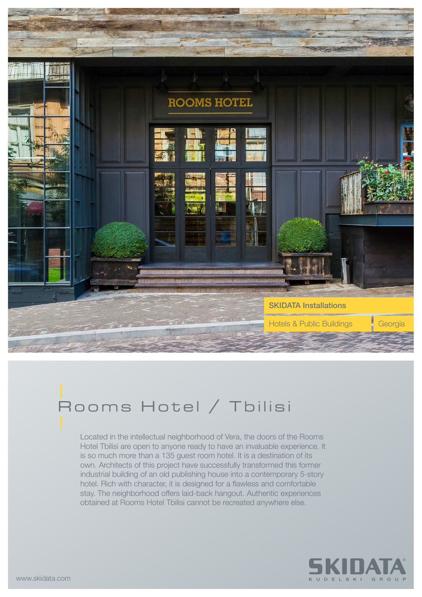

## Rooms Hotel / Tbilisi

Located in the intellectual neighborhood of Vera, the doors of the Rooms Hotel Tbilisi are open to anyone ready to have an invaluable experience. It is so much more than a 135 guest room hotel. It is a destination of its own. Architects of this project have successfully transformed this former industrial building of an old publishing house into a contemporary 5-story hotel. Rich with character, it is designed for a flawless and comfortable stay. The neighborhood offers laid-back hangout. Authentic experiences obtained at Rooms Hotel Tbilisi cannot be recreated anywhere else.